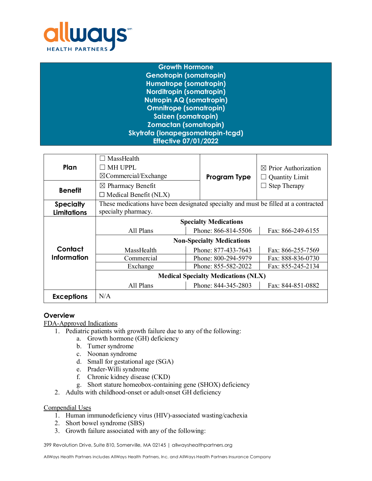

| <b>Growth Hormone</b>             |
|-----------------------------------|
| <b>Genotropin (somatropin)</b>    |
| <b>Humatrope (somatropin)</b>     |
| <b>Norditropin (somatropin)</b>   |
| <b>Nutropin AQ (somatropin)</b>   |
| <b>Omnitrope (somatropin)</b>     |
| <b>Saizen (somatropin)</b>        |
| <b>Zomactan (somatropin)</b>      |
| Skytrofa (lonapegsomatropin-tcgd) |
| <b>Effective 07/01/2022</b>       |

| Plan               | MassHealth<br><b>MH UPPL</b><br>$\boxtimes$ Commercial/Exchange                     | Program Type        | $\boxtimes$ Prior Authorization<br><b>Quantity Limit</b> |
|--------------------|-------------------------------------------------------------------------------------|---------------------|----------------------------------------------------------|
| <b>Benefit</b>     | $\boxtimes$ Pharmacy Benefit<br>$\Box$ Medical Benefit (NLX)                        |                     | <b>Step Therapy</b>                                      |
| <b>Specialty</b>   | These medications have been designated specialty and must be filled at a contracted |                     |                                                          |
| <b>Limitations</b> | specialty pharmacy.                                                                 |                     |                                                          |
|                    | <b>Specialty Medications</b>                                                        |                     |                                                          |
|                    | All Plans                                                                           | Phone: 866-814-5506 | Fax: 866-249-6155                                        |
|                    | <b>Non-Specialty Medications</b>                                                    |                     |                                                          |
| Contact            | MassHealth                                                                          | Phone: 877-433-7643 | Fax: 866-255-7569                                        |
| Information        | Commercial                                                                          | Phone: 800-294-5979 | Fax: 888-836-0730                                        |
|                    | Exchange                                                                            | Phone: 855-582-2022 | Fax: 855-245-2134                                        |
|                    | <b>Medical Specialty Medications (NLX)</b>                                          |                     |                                                          |
|                    | All Plans                                                                           | Phone: 844-345-2803 | Fax: 844-851-0882                                        |
| <b>Exceptions</b>  | N/A                                                                                 |                     |                                                          |

# **Overview**

FDA-Approved Indications

- 1. Pediatric patients with growth failure due to any of the following:
	- a. Growth hormone (GH) deficiency
	- b. Turner syndrome
	- c. Noonan syndrome
	- d. Small for gestational age (SGA)
	- e. Prader-Willi syndrome
	- f. Chronic kidney disease (CKD)
	- g. Short stature homeobox-containing gene (SHOX) deficiency
- 2. Adults with childhood-onset or adult-onset GH deficiency

Compendial Uses

- 1. Human immunodeficiency virus (HIV)-associated wasting/cachexia
- 2. Short bowel syndrome (SBS)
- 3. Growth failure associated with any of the following: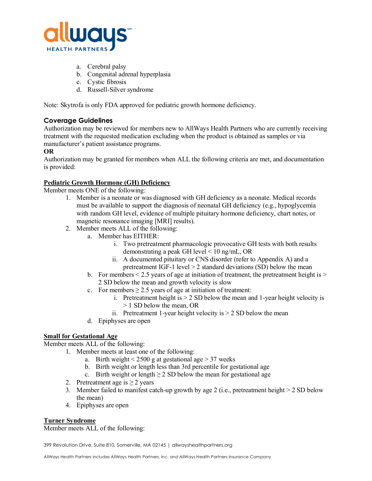

- a. Cerebral palsy
- b. Congenital adrenal hyperplasia
- c. Cystic fibrosis
- d. Russell-Silver syndrome

Note: Skytrofa is only FDA approved for pediatric growth hormone deficiency.

# **Coverage Guidelines**

Authorization may be reviewed for members new to AllWays Health Partners who are currently receiving treatment with the requested medication excluding when the product is obtained as samples or via manufacturer's patient assistance programs.

### **OR**

Authorization may be granted for members when ALL the following criteria are met, and documentation is provided:

# **Pediatric Growth Hormone (GH) Deficiency**

Member meets ONE of the following:

- 1. Member is a neonate or was diagnosed with GH deficiency as a neonate. Medical records must be available to support the diagnosis of neonatal GH deficiency (e.g., hypoglycemia with random GH level, evidence of multiple pituitary hormone deficiency, chart notes, or magnetic resonance imaging [MRI] results).
- 2. Member meets ALL of the following:
	- a. Member has EITHER:
		- i. Two pretreatment pharmacologic provocative GH tests with both results demonstrating a peak GH level < 10 ng/mL, OR
		- ii. A documented pituitary or CNS disorder (refer to Appendix A) and a pretreatment IGF-1 level > 2 standard deviations (SD) below the mean
		- b. For members  $\leq 2.5$  years of age at initiation of treatment, the pretreatment height is  $\geq$ 2 SD below the mean and growth velocity is slow
		- c. For members  $\geq$  2.5 years of age at initiation of treatment:
			- i. Pretreatment height is  $> 2$  SD below the mean and 1-year height velocity is > 1 SD below the mean, OR
			- ii. Pretreatment 1-year height velocity is  $> 2$  SD below the mean
	- d. Epiphyses are open

# **Small for Gestational Age**

Member meets ALL of the following:

- 1. Member meets at least one of the following:
	- a. Birth weight  $\leq 2500$  g at gestational age  $> 37$  weeks
	- b. Birth weight or length less than 3rd percentile for gestational age
	- c. Birth weight or length  $\geq 2$  SD below the mean for gestational age
- 2. Pretreatment age is  $\geq 2$  years
- 3. Member failed to manifest catch-up growth by age 2 (i.e., pretreatment height  $> 2$  SD below the mean)
- 4. Epiphyses are open

#### **Turner Syndrome**

Member meets ALL of the following: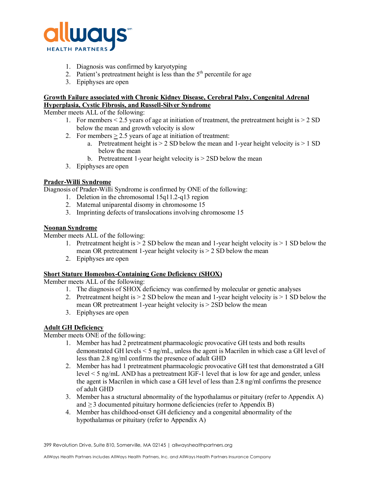

- 1. Diagnosis was confirmed by karyotyping
- 2. Patient's pretreatment height is less than the  $5<sup>th</sup>$  percentile for age
- 3. Epiphyses are open

# **Growth Failure associated with Chronic Kidney Disease, Cerebral Palsy, Congenital Adrenal Hyperplasia, Cystic Fibrosis, and Russell-Silver Syndrome**

Member meets ALL of the following:

- 1. For members  $\leq 2.5$  years of age at initiation of treatment, the pretreatment height is  $> 2$  SD below the mean and growth velocity is slow
- 2. For members > 2.5 years of age at initiation of treatment:
	- a. Pretreatment height is  $> 2$  SD below the mean and 1-year height velocity is  $> 1$  SD below the mean
	- b. Pretreatment 1-year height velocity is > 2SD below the mean
- 3. Epiphyses are open

### **Prader-Willi Syndrome**

Diagnosis of Prader-Willi Syndrome is confirmed by ONE of the following:

- 1. Deletion in the chromosomal 15q11.2-q13 region
- 2. Maternal uniparental disomy in chromosome 15
- 3. Imprinting defects of translocations involving chromosome 15

### **Noonan Syndrome**

Member meets ALL of the following:

- 1. Pretreatment height is  $> 2$  SD below the mean and 1-year height velocity is  $> 1$  SD below the mean OR pretreatment 1-year height velocity is > 2 SD below the mean
- 2. Epiphyses are open

# **Short Stature Homeobox-Containing Gene Deficiency (SHOX)**

Member meets ALL of the following:

- 1. The diagnosis of SHOX deficiency was confirmed by molecular or genetic analyses
- 2. Pretreatment height is > 2 SD below the mean and 1-year height velocity is > 1 SD below the mean OR pretreatment 1-year height velocity is > 2SD below the mean
- 3. Epiphyses are open

# **Adult GH Deficiency**

Member meets ONE of the following:

- 1. Member has had 2 pretreatment pharmacologic provocative GH tests and both results demonstrated GH levels < 5 ng/mL, unless the agent is Macrilen in which case a GH level of less than 2.8 ng/ml confirms the presence of adult GHD
- 2. Member has had 1 pretreatment pharmacologic provocative GH test that demonstrated a GH level < 5 ng/mL AND has a pretreatment IGF-1 level that is low for age and gender, unless the agent is Macrilen in which case a GH level of less than 2.8 ng/ml confirms the presence of adult GHD
- 3. Member has a structural abnormality of the hypothalamus or pituitary (refer to Appendix A) and  $\geq$  3 documented pituitary hormone deficiencies (refer to Appendix B)
- 4. Member has childhood-onset GH deficiency and a congenital abnormality of the hypothalamus or pituitary (refer to Appendix A)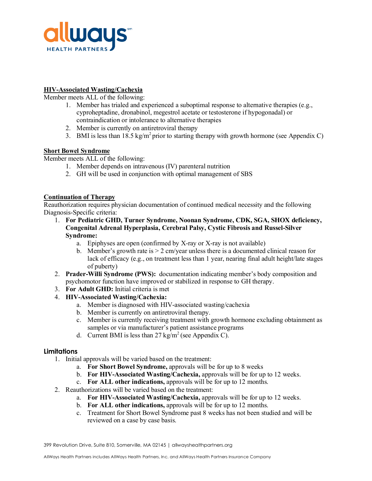

# **HIV-Associated Wasting/Cachexia**

Member meets ALL of the following:

- 1. Member has trialed and experienced a suboptimal response to alternative therapies (e.g., cyproheptadine, dronabinol, megestrol acetate or testosterone if hypogonadal) or contraindication or intolerance to alternative therapies
- 2. Member is currently on antiretroviral therapy
- 3. BMI is less than 18.5 kg/m<sup>2</sup> prior to starting therapy with growth hormone (see Appendix C)

# **Short Bowel Syndrome**

Member meets ALL of the following:

- 1. Member depends on intravenous (IV) parenteral nutrition
- 2. GH will be used in conjunction with optimal management of SBS

### **Continuation of Therapy**

Reauthorization requires physician documentation of continued medical necessity and the following Diagnosis-Specific criteria:

- 1. **For Pediatric GHD, Turner Syndrome, Noonan Syndrome, CDK, SGA, SHOX deficiency, Congenital Adrenal Hyperplasia, Cerebral Palsy, Cystic Fibrosis and Russel-Silver Syndrome:** 
	- a. Epiphyses are open (confirmed by X-ray or X-ray is not available)
	- b. Member's growth rate is  $> 2$  cm/year unless there is a documented clinical reason for lack of efficacy (e.g., on treatment less than 1 year, nearing final adult height/late stages of puberty)
- 2. **Prader-Willi Syndrome (PWS):** documentation indicating member's body composition and psychomotor function have improved or stabilized in response to GH therapy.
- 3. **For Adult GHD:** Initial criteria is met
- 4. **HIV-Associated Wasting/Cachexia:** 
	- a. Member is diagnosed with HIV-associated wasting/cachexia
	- b. Member is currently on antiretroviral therapy.
	- c. Member is currently receiving treatment with growth hormone excluding obtainment as samples or via manufacturer's patient assistance programs
	- d. Current BMI is less than  $27 \text{ kg/m}^2$  (see Appendix C).

#### **Limitations**

- 1. Initial approvals will be varied based on the treatment:
	- a. **For Short Bowel Syndrome,** approvals will be for up to 8 weeks
	- b. **For HIV-Associated Wasting/Cachexia,** approvals will be for up to 12 weeks.
	- c. **For ALL other indications,** approvals will be for up to 12 months.
- 2. Reauthorizations will be varied based on the treatment:
	- a. **For HIV-Associated Wasting/Cachexia,** approvals will be for up to 12 weeks.
	- b. **For ALL other indications,** approvals will be for up to 12 months.
	- c. Treatment for Short Bowel Syndrome past 8 weeks has not been studied and will be reviewed on a case by case basis.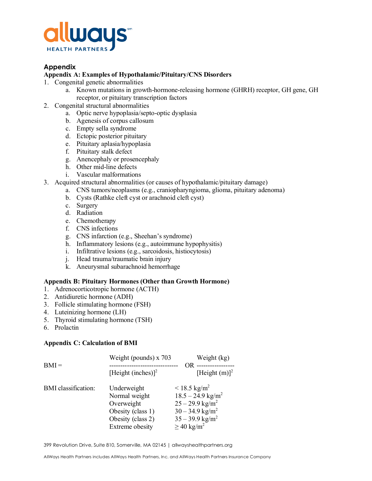

# **Appendix**

### **Appendix A: Examples of Hypothalamic/Pituitary/CNS Disorders**

- 1. Congenital genetic abnormalities
	- a. Known mutations in growth-hormone-releasing hormone (GHRH) receptor, GH gene, GH receptor, or pituitary transcription factors
- 2. Congenital structural abnormalities
	- a. Optic nerve hypoplasia/septo-optic dysplasia
	- b. Agenesis of corpus callosum
	- c. Empty sella syndrome
	- d. Ectopic posterior pituitary
	- e. Pituitary aplasia/hypoplasia
	- f. Pituitary stalk defect
	- g. Anencephaly or prosencephaly
	- h. Other mid-line defects
	- i. Vascular malformations
- 3. Acquired structural abnormalities (or causes of hypothalamic/pituitary damage)
	- a. CNS tumors/neoplasms (e.g., craniopharyngioma, glioma, pituitary adenoma)
	- b. Cysts (Rathke cleft cyst or arachnoid cleft cyst)
	- c. Surgery
	- d. Radiation
	- e. Chemotherapy
	- f. CNS infections
	- g. CNS infarction (e.g., Sheehan's syndrome)
	- h. Inflammatory lesions (e.g., autoimmune hypophysitis)
	- i. Infiltrative lesions (e.g., sarcoidosis, histiocytosis)
	- j. Head trauma/traumatic brain injury
	- k. Aneurysmal subarachnoid hemorrhage

#### **Appendix B: Pituitary Hormones (Other than Growth Hormone)**

- 1. Adrenocorticotropic hormone (ACTH)
- 2. Antidiuretic hormone (ADH)
- 3. Follicle stimulating hormone (FSH)
- 4. Luteinizing hormone (LH)
- 5. Thyroid stimulating hormone (TSH)
- 6. Prolactin

#### **Appendix C: Calculation of BMI**

| $BMI =$                    | Weight (pounds) $x$ 703        | Weight (kg)                     |
|----------------------------|--------------------------------|---------------------------------|
|                            | [Height (inches)] <sup>2</sup> | [Height $(m)$ ] <sup>2</sup>    |
| <b>BMI</b> classification: | Underweight                    | $< 18.5 \text{ kg/m}^2$         |
|                            | Normal weight                  | $18.5 - 24.9$ kg/m <sup>2</sup> |
|                            | Overweight                     | $25 - 29.9$ kg/m <sup>2</sup>   |
|                            | Obesity (class 1)              | $30 - 34.9$ kg/m <sup>2</sup>   |
|                            | Obesity (class 2)              | $35 - 39.9$ kg/m <sup>2</sup>   |
|                            | Extreme obesity                | $\geq$ 40 kg/m <sup>2</sup>     |